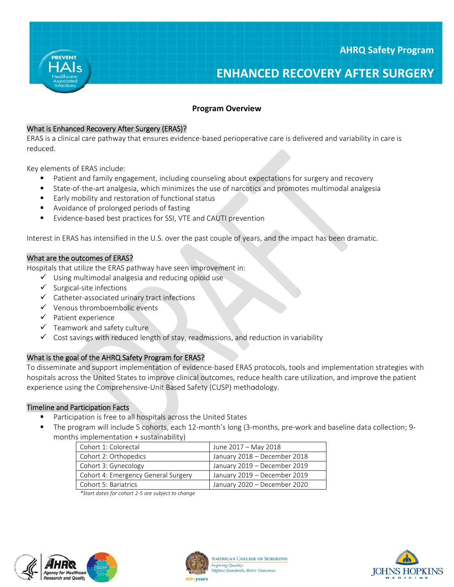

# **Program Overview**

### What is Enhanced Recovery After Surgery (ERAS)?

ERAS is a clinical care pathway that ensures evidence-based perioperative care is delivered and variability in care is reduced.

Key elements of ERAS include:

- Patient and family engagement, including counseling about expectations for surgery and recovery
- State-of-the-art analgesia, which minimizes the use of narcotics and promotes multimodal analgesia
- Early mobility and restoration of functional status
- Avoidance of prolonged periods of fasting
- Evidence-based best practices for SSI, VTE and CAUTI prevention  $\blacksquare$

Interest in ERAS has intensified in the U.S. over the past couple of years, and the impact has been dramatic.

### What are the outcomes of ERAS?

Hospitals that utilize the ERAS pathway have seen improvement in:

- $\checkmark$  Using multimodal analgesia and reducing opioid use
- $\checkmark$  Surgical-site infections
- ← Catheter-associated urinary tract infections
- $\checkmark$  Venous thromboembolic events
- $\checkmark$  Patient experience
- $\checkmark$  Teamwork and safety culture
- $\checkmark$  Cost savings with reduced length of stay, readmissions, and reduction in variability

# What is the goal of the AHRQ Safety Program for ERAS?

To disseminate and support implementation of evidence-based ERAS protocols, tools and implementation strategies with hospitals across the United States to improve clinical outcomes, reduce health care utilization, and improve the patient experience using the Comprehensive-Unit Based Safety (CUSP) methodology.

#### **Timeline and Participation Facts**

- Participation is free to all hospitals across the United States
- The program will include 5 cohorts, each 12-month's long (3-months, pre-work and baseline data collection; 9months implementation + sustainability)

| Cohort 1: Colorectal                | June 2017 - May 2018         |
|-------------------------------------|------------------------------|
| Cohort 2: Orthopedics               | January 2018 - December 2018 |
| Cohort 3: Gynecology                | January 2019 - December 2019 |
| Cohort 4: Emergency General Surgery | January 2019 - December 2019 |
| Cohort 5: Bariatrics                | January 2020 - December 2020 |

\*Start dates for cohort 2-5 are subject to change